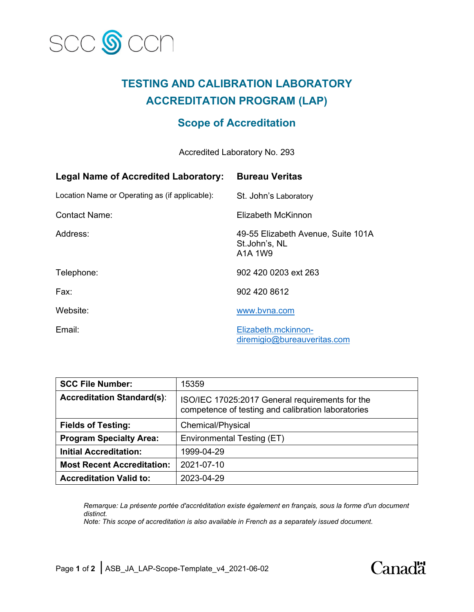

# **TESTING AND CALIBRATION LABORATORY ACCREDITATION PROGRAM (LAP)**

## **Scope of Accreditation**

Accredited Laboratory No. 293

| Legal Name of Accredited Laboratory:           | <b>Bureau Veritas</b>                                          |
|------------------------------------------------|----------------------------------------------------------------|
| Location Name or Operating as (if applicable): | St. John's Laboratory                                          |
| <b>Contact Name:</b>                           | Elizabeth McKinnon                                             |
| Address:                                       | 49-55 Elizabeth Avenue, Suite 101A<br>St.John's, NL<br>A1A 1W9 |
| Telephone:                                     | 902 420 0203 ext 263                                           |
| Fax:                                           | 902 420 8612                                                   |
| Website:                                       | www.bvna.com                                                   |
| Email:                                         | Elizabeth.mckinnon-<br>diremigio@bureauveritas.com             |

| <b>SCC File Number:</b>           | 15359                                                                                                 |
|-----------------------------------|-------------------------------------------------------------------------------------------------------|
| <b>Accreditation Standard(s):</b> | ISO/IEC 17025:2017 General requirements for the<br>competence of testing and calibration laboratories |
| <b>Fields of Testing:</b>         | Chemical/Physical                                                                                     |
| <b>Program Specialty Area:</b>    | Environmental Testing (ET)                                                                            |
| <b>Initial Accreditation:</b>     | 1999-04-29                                                                                            |
| <b>Most Recent Accreditation:</b> | 2021-07-10                                                                                            |
| <b>Accreditation Valid to:</b>    | 2023-04-29                                                                                            |

*Remarque: La présente portée d'accréditation existe également en français, sous la forme d'un document distinct.*

*Note: This scope of accreditation is also available in French as a separately issued document.*